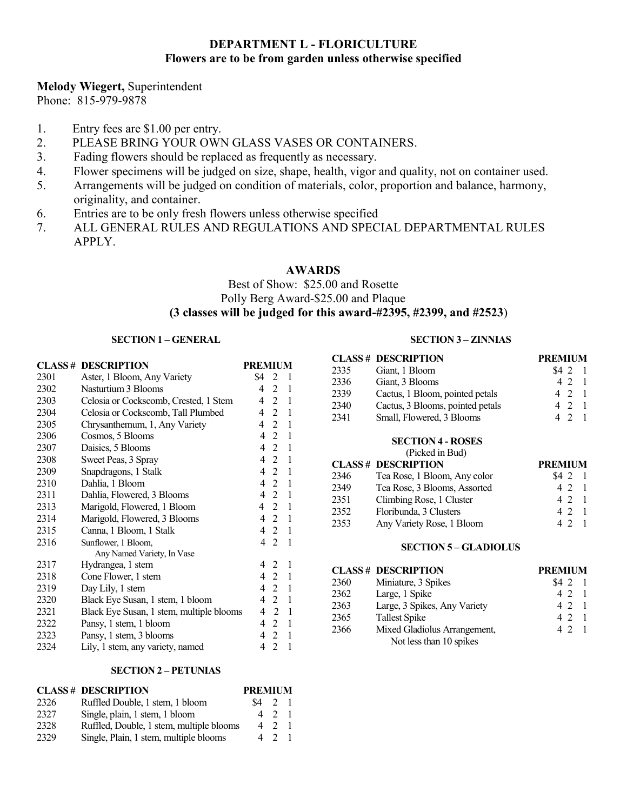# **DEPARTMENT L - FLORICULTURE Flowers are to be from garden unless otherwise specified**

## **Melody Wiegert,** Superintendent

Phone: 815-979-9878

- 1. Entry fees are \$1.00 per entry.
- 2. PLEASE BRING YOUR OWN GLASS VASES OR CONTAINERS.
- 3. Fading flowers should be replaced as frequently as necessary.
- 4. Flower specimens will be judged on size, shape, health, vigor and quality, not on container used.
- 5. Arrangements will be judged on condition of materials, color, proportion and balance, harmony, originality, and container.
- 6. Entries are to be only fresh flowers unless otherwise specified
- 7. ALL GENERAL RULES AND REGULATIONS AND SPECIAL DEPARTMENTAL RULES APPLY.

## **AWARDS**

# Best of Show: \$25.00 and Rosette Polly Berg Award-\$25.00 and Plaque **(3 classes will be judged for this award-#2395, #2399, and #2523**)

## **SECTION 1 – GENERAL**

|      | <b>CLASS # DESCRIPTION</b>               | <b>PREMIUM</b>                                   |
|------|------------------------------------------|--------------------------------------------------|
| 2301 | Aster, 1 Bloom, Any Variety              | \$4<br>2<br>$\mathbf{1}$                         |
| 2302 | Nasturtium 3 Blooms                      | 1<br>2<br>4                                      |
| 2303 | Celosia or Cockscomb, Crested, 1 Stem    | $\mathbf{1}$<br>2<br>4                           |
| 2304 | Celosia or Cockscomb, Tall Plumbed       | $\mathbf{1}$<br>2<br>4                           |
| 2305 | Chrysanthemum, 1, Any Variety            | $\overline{2}$<br>$\mathbf{1}$<br>4              |
| 2306 | Cosmos, 5 Blooms                         | $\overline{2}$<br>$\mathbf{1}$<br>4              |
| 2307 | Daisies, 5 Blooms                        | $\overline{2}$<br>1<br>4                         |
| 2308 | Sweet Peas, 3 Spray                      | $\overline{4}$<br>2<br>1                         |
| 2309 | Snapdragons, 1 Stalk                     | 1<br>$\overline{2}$<br>4                         |
| 2310 | Dahlia, 1 Bloom                          | 2<br>$\mathbf{1}$<br>4                           |
| 2311 | Dahlia, Flowered, 3 Blooms               | $\overline{2}$<br>1<br>4                         |
| 2313 | Marigold, Flowered, 1 Bloom              | $\overline{2}$<br>$\mathbf{1}$<br>$\overline{4}$ |
| 2314 | Marigold, Flowered, 3 Blooms             | 2<br>$\mathbf{1}$<br>4                           |
| 2315 | Canna, 1 Bloom, 1 Stalk                  | $\overline{2}$<br>$\overline{4}$<br>1            |
| 2316 | Sunflower, 1 Bloom,                      | $\overline{2}$<br>$\mathbf{1}$<br>4              |
|      | Any Named Variety, In Vase               |                                                  |
| 2317 | Hydrangea, 1 stem                        | 1<br>4<br>2                                      |
| 2318 | Cone Flower, 1 stem                      | 1<br>4<br>$\mathfrak{D}$                         |
| 2319 | Day Lily, 1 stem                         | $\mathbf{1}$<br>4<br>2                           |
| 2320 | Black Eye Susan, 1 stem, 1 bloom         | $\mathbf{1}$<br>$\overline{4}$<br>2              |
| 2321 | Black Eye Susan, 1 stem, multiple blooms | $\mathbf{1}$<br>2<br>4                           |
| 2322 | Pansy, 1 stem, 1 bloom                   | 1<br>$\overline{4}$<br>$\overline{2}$            |
| 2323 | Pansy, 1 stem, 3 blooms                  | $\mathbf{1}$<br>$\overline{2}$<br>4              |
| 2324 | Lily, 1 stem, any variety, named         | 4<br>$\overline{2}$<br>$\mathbf{1}$              |

### **SECTION 2 – PETUNIAS**

|      | <b>CLASS# DESCRIPTION</b>                |     | <b>PREMIUM</b> |  |  |
|------|------------------------------------------|-----|----------------|--|--|
| 2326 | Ruffled Double, 1 stem, 1 bloom          | S4  | $\mathcal{L}$  |  |  |
| 2327 | Single, plain, 1 stem, 1 bloom           |     | 4 2 1          |  |  |
| 2328 | Ruffled, Double, 1 stem, multiple blooms | 4 2 |                |  |  |
| 2329 | Single, Plain, 1 stem, multiple blooms   | 4 2 |                |  |  |

# **SECTION 3 – ZINNIAS**

| CLASS# | <b>DESCRIPTION</b>               | <b>PREMIUM</b>        |
|--------|----------------------------------|-----------------------|
| 2335   | Giant, 1 Bloom                   | \$4 2<br>-1           |
| 2336   | Giant, 3 Blooms                  | 42<br>$\overline{1}$  |
| 2339   | Cactus, 1 Bloom, pointed petals  | 4 2<br>$\overline{1}$ |
| 2340   | Cactus, 3 Blooms, pointed petals | 4 2 1                 |
| 2341   | Small, Flowered, 3 Blooms        | 4 2<br>- 1            |
|        | <b>SECTION 4 - ROSES</b>         |                       |
|        | (Picked in Bud)                  |                       |
|        | <b>CLASS# DESCRIPTION</b>        | <b>PREMIUM</b>        |
| 2346   | Tea Rose, 1 Bloom, Any color     | S4 2<br>-1            |
| 2349   | Tea Rose, 3 Blooms, Assorted     | 42<br>$\overline{1}$  |
| 2351   | Climbing Rose, 1 Cluster         | 42<br>$\mathbf{1}$    |
| 2352   | Floribunda, 3 Clusters           | 4 2 1                 |
| 2353   | Any Variety Rose, 1 Bloom        | 42<br>-1              |
|        | CLADIOLIE<br>SECTION 5           |                       |

#### **SECTION 5 – GLADIOLUS**

|      | <b>CLASS# DESCRIPTION</b>    | <b>PREMIUM</b> |  |
|------|------------------------------|----------------|--|
| 2360 | Miniature, 3 Spikes          | \$421          |  |
| 2362 | Large, 1 Spike               | 4 2 1          |  |
| 2363 | Large, 3 Spikes, Any Variety | 4 2 1          |  |
| 2365 | <b>Tallest Spike</b>         | 4 2 1          |  |
| 2366 | Mixed Gladiolus Arrangement, | 4 2 1          |  |
|      | Not less than 10 spikes      |                |  |